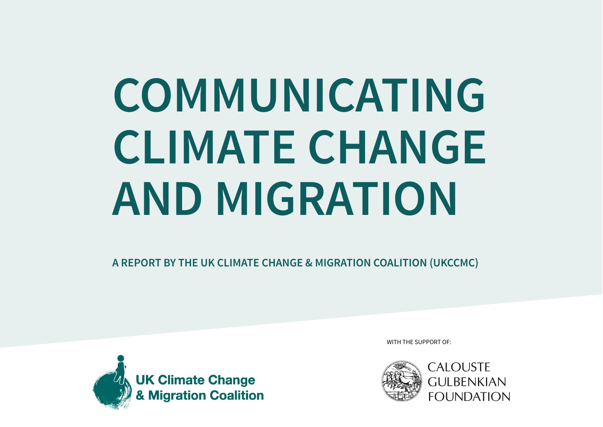# **COMMUNICATING CLIMATE CHANGE AND MIGRATION**

**A REPORT BY THE UK CLIMATE CHANGE & MIGRATION COALITION (UKCCMC)**



WITH THE SUPPORT OF:

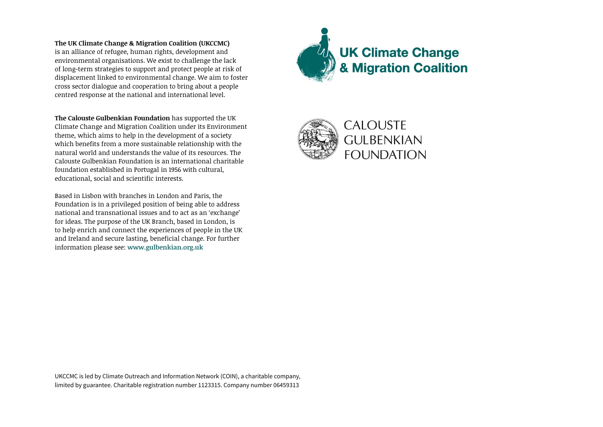**The UK Climate Change & Migration Coalition (UKCCMC)**  is an alliance of refugee, human rights, development and environmental organisations. We exist to challenge the lack of long-term strategies to support and protect people at risk of displacement linked to environmental change. We aim to foster cross sector dialogue and cooperation to bring about a people centred response at the national and international level.

**The Calouste Gulbenkian Foundation** has supported the UK Climate Change and Migration Coalition under its Environment theme, which aims to help in the development of a society which benefits from a more sustainable relationship with the natural world and understands the value of its resources. The Calouste Gulbenkian Foundation is an international charitable foundation established in Portugal in 1956 with cultural, educational, social and scientific interests.

Based in Lisbon with branches in London and Paris, the Foundation is in a privileged position of being able to address national and transnational issues and to act as an 'exchange' for ideas. The purpose of the UK Branch, based in London, is to help enrich and connect the experiences of people in the UK and Ireland and secure lasting, beneficial change. For further information please see: **www.gulbenkian.org.uk**



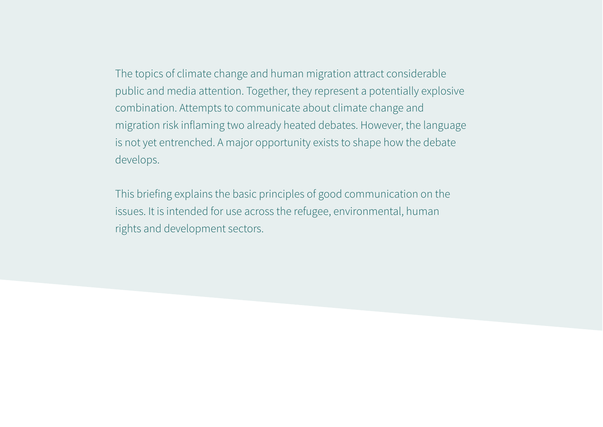The topics of climate change and human migration attract considerable public and media attention. Together, they represent a potentially explosive combination. Attempts to communicate about climate change and migration risk inflaming two already heated debates. However, the language is not yet entrenched. A major opportunity exists to shape how the debate develops.

This briefing explains the basic principles of good communication on the issues. It is intended for use across the refugee, environmental, human rights and development sectors.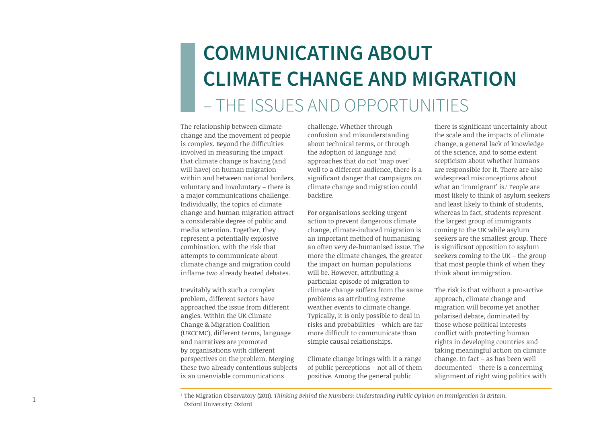# **COMMUNICATING ABOUT CLIMATE CHANGE AND MIGRATION**  – THE ISSUES AND OPPORTUNITIES

The relationship between climate change and the movement of people is complex. Beyond the difficulties involved in measuring the impact that climate change is having (and will have) on human migration – within and between national borders, voluntary and involuntary – there is a major communications challenge. Individually, the topics of climate change and human migration attract a considerable degree of public and media attention. Together, they represent a potentially explosive combination, with the risk that attempts to communicate about climate change and migration could inflame two already heated debates.

Inevitably with such a complex problem, different sectors have approached the issue from different angles. Within the UK Climate Change & Migration Coalition (UKCCMC), different terms, language and narratives are promoted by organisations with different perspectives on the problem. Merging these two already contentious subjects is an unenviable communications

challenge. Whether through confusion and misunderstanding about technical terms, or through the adoption of language and approaches that do not 'map over' well to a different audience, there is a significant danger that campaigns on climate change and migration could backfire.

For organisations seeking urgent action to prevent dangerous climate change, climate-induced migration is an important method of humanising an often very de-humanised issue. The more the climate changes, the greater the impact on human populations will be. However, attributing a particular episode of migration to climate change suffers from the same problems as attributing extreme weather events to climate change. Typically, it is only possible to deal in risks and probabilities – which are far more difficult to communicate than simple causal relationships.

Climate change brings with it a range of public perceptions – not all of them positive. Among the general public

there is significant uncertainty about the scale and the impacts of climate change, a general lack of knowledge of the science, and to some extent scepticism about whether humans are responsible for it. There are also widespread misconceptions about what an 'immigrant' is.1 People are most likely to think of asylum seekers and least likely to think of students, whereas in fact, students represent the largest group of immigrants coming to the UK while asylum seekers are the smallest group. There is significant opposition to asylum seekers coming to the UK – the group that most people think of when they think about immigration.

The risk is that without a pro-active approach, climate change and migration will become yet another polarised debate, dominated by those whose political interests conflict with protecting human rights in developing countries and taking meaningful action on climate change. In fact – as has been well documented – there is a concerning alignment of right wing politics with

<sup>1</sup> The Migration Observatory (2011). *Thinking Behind the Numbers: Understanding Public Opinion on Immigration in Britain.*  Oxford University: Oxford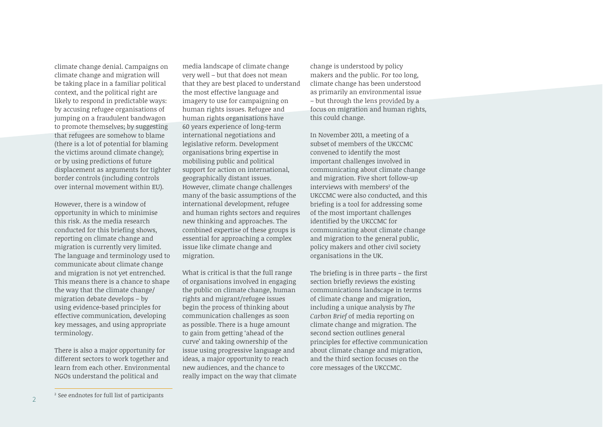climate change denial. Campaigns on climate change and migration will be taking place in a familiar political context, and the political right are likely to respond in predictable ways: by accusing refugee organisations of jumping on a fraudulent bandwagon to promote themselves; by suggesting that refugees are somehow to blame (there is a lot of potential for blaming the victims around climate change); or by using predictions of future displacement as arguments for tighter border controls (including controls over internal movement within EU).

However, there is a window of opportunity in which to minimise this risk. As the media research conducted for this briefing shows. reporting on climate change and migration is currently very limited. The language and terminology used to communicate about climate change and migration is not yet entrenched. This means there is a chance to shape the way that the climate change/ migration debate develops – by using evidence-based principles for effective communication, developing key messages, and using appropriate terminology.

There is also a major opportunity for different sectors to work together and learn from each other. Environmental NGOs understand the political and

media landscape of climate change very well – but that does not mean that they are best placed to understand the most effective language and imagery to use for campaigning on human rights issues. Refugee and human rights organisations have 60 years experience of long-term international negotiations and legislative reform. Development organisations bring expertise in mobilising public and political support for action on international, geographically distant issues. However, climate change challenges many of the basic assumptions of the international development, refugee and human rights sectors and requires new thinking and approaches. The combined expertise of these groups is essential for approaching a complex issue like climate change and migration.

What is critical is that the full range of organisations involved in engaging the public on climate change, human rights and migrant/refugee issues begin the process of thinking about communication challenges as soon as possible. There is a huge amount to gain from getting 'ahead of the curve' and taking ownership of the issue using progressive language and ideas, a major opportunity to reach new audiences, and the chance to really impact on the way that climate

change is understood by policy makers and the public. For too long, climate change has been understood as primarily an environmental issue – but through the lens provided by a focus on migration and human rights, this could change.

In November 2011, a meeting of a subset of members of the UKCCMC convened to identify the most important challenges involved in communicating about climate change and migration. Five short follow-up interviews with members<sup>2</sup> of the UKCCMC were also conducted, and this briefing is a tool for addressing some of the most important challenges identified by the UKCCMC for communicating about climate change and migration to the general public, policy makers and other civil society organisations in the UK.

The briefing is in three parts  $-$  the first section briefly reviews the existing communications landscape in terms of climate change and migration, including a unique analysis by *The Carbon Brief* of media reporting on climate change and migration. The second section outlines general principles for effective communication about climate change and migration, and the third section focuses on the core messages of the UKCCMC.

<sup>2</sup> See endnotes for full list of participants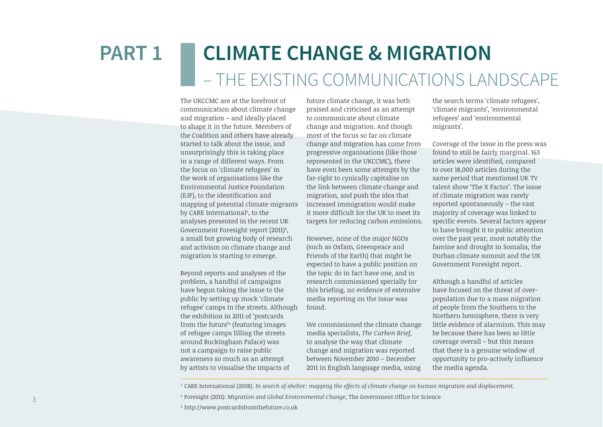# **CLIMATE CHANGE & MIGRATION**  – THE EXISTING COMMUNICATIONS LANDSCAPE **PART 1**

The UKCCMC are at the forefront of communication about climate change and migration – and ideally placed to shape it in the future. Members of the Coalition and others have already started to talk about the issue, and unsurprisingly this is taking place in a range of different ways. From the focus on 'climate refugees' in the work of organisations like the Environmental Justice Foundation (EJF), to the identification and mapping of potential climate migrants by CARE International<sup>3</sup>, to the analyses presented in the recent UK Government Foresight report (2011)<del>'</del>, a small but growing body of research and activism on climate change and migration is starting to emerge.

Beyond reports and analyses of the problem, a handful of campaigns have begun taking the issue to the public by setting up mock 'climate refugee' camps in the streets. Although the exhibition in 2011 of 'postcards from the future'4 (featuring images of refugee camps filling the streets around Buckingham Palace) was not a campaign to raise public awareness so much as an attempt by artists to visualise the impacts of

future climate change, it was both praised and criticised as an attempt to communicate about climate change and migration. And though most of the focus so far on climate change and migration has come from progressive organisations (like those represented in the UKCCMC), there have even been some attempts by the far-right to cynically capitalise on the link between climate change and migration, and push the idea that increased immigration would make it more difficult for the UK to meet its targets for reducing carbon emissions.

However, none of the major NGOs (such as Oxfam, Greenpeace and Friends of the Earth) that might be expected to have a public position on the topic do in fact have one, and in research commissioned specially for this briefing, no evidence of extensive media reporting on the issue was found.

We commissioned the climate change media specialists, *The Carbon Brief*, to analyse the way that climate change and migration was reported between November 2010 – December 2011 in English language media, using

the search terms 'climate refugees', 'climate migrants', 'environmental refugees' and 'environmental migrants'.

Coverage of the issue in the press was found to still be fairly marginal. 163 articles were identified, compared to over 18,000 articles during the same period that mentioned UK TV talent show 'The X Factor'. The issue of climate migration was rarely reported spontaneously – the vast majority of coverage was linked to specific events. Several factors appear to have brought it to public attention over the past year, most notably the famine and drought in Somalia, the Durban climate summit and the UK Government Foresight report.

Although a handful of articles have focused on the threat of overpopulation due to a mass migration of people from the Southern to the Northern hemisphere, there is very little evidence of alarmism. This may be because there has been so little coverage overall – but this means that there is a genuine window of opportunity to pro-actively influence the media agenda.

<sup>3</sup> CARE International (2008). *In search of shelter: mapping the effects of climate change on human migration and displacement.*

<sup>4</sup> Foresight (2011): *Migration and Global Environmental Change*, The Government Office for Science

<sup>5</sup> http://www.postcardsfromthefuture.co.uk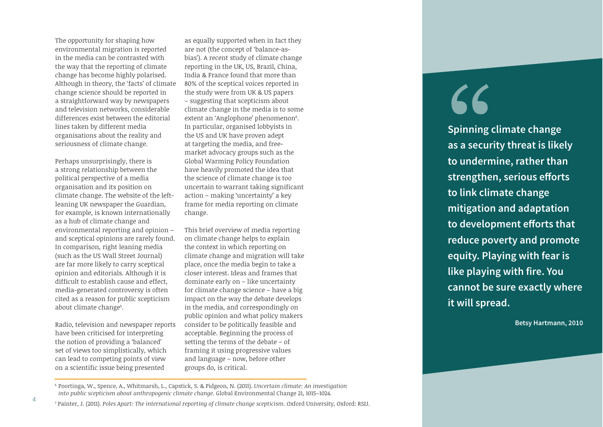The opportunity for shaping how environmental migration is reported in the media can be contrasted with the way that the reporting of climate change has become highly polarised. Although in theory, the 'facts' of climate change science should be reported in a straightforward way by newspapers and television networks, considerable differences exist between the editorial lines taken by different media organisations about the reality and seriousness of climate change.

Perhaps unsurprisingly, there is a strong relationship between the political perspective of a media organisation and its position on climate change. The website of the leftleaning UK newspaper the Guardian, for example, is known internationally as a hub of climate change and environmental reporting and opinion – and sceptical opinions are rarely found. In comparison, right leaning media (such as the US Wall Street Journal) are far more likely to carry sceptical opinion and editorials. Although it is difficult to establish cause and effect. media-generated controversy is often cited as a reason for public scepticism about climate change5 .

Radio, television and newspaper reports have been criticised for interpreting the notion of providing a 'balanced' set of views too simplistically, which can lead to competing points of view on a scientific issue being presented

as equally supported when in fact they are not (the concept of 'balance-asbias'). A recent study of climate change reporting in the UK, US, Brazil, China, India & France found that more than 80% of the sceptical voices reported in the study were from UK & US papers – suggesting that scepticism about climate change in the media is to some extent an 'Anglophone' phenomenon<sup>6</sup>. In particular, organised lobbyists in the US and UK have proven adept at targeting the media, and freemarket advocacy groups such as the Global Warming Policy Foundation have heavily promoted the idea that the science of climate change is too uncertain to warrant taking significant action – making 'uncertainty' a key frame for media reporting on climate change.

This brief overview of media reporting on climate change helps to explain the context in which reporting on climate change and migration will take place, once the media begin to take a closer interest. Ideas and frames that dominate early on – like uncertainty for climate change science – have a big impact on the way the debate develops in the media, and correspondingly on public opinion and what policy makers consider to be politically feasible and acceptable. Beginning the process of setting the terms of the debate – of framing it using progressive values and language – now, before other groups do, is critical.

"

**Spinning climate change as a security threat is likely to undermine, rather than**  strengthen, serious efforts **to link climate change mitigation and adaptation**  to development efforts that **reduce poverty and promote equity. Playing with fear is like playing with fire. You cannot be sure exactly where it will spread.**

**Betsy Hartmann, 2010**

<sup>6</sup> Poortinga, W., Spence, A., Whitmarsh, L., Capstick, S. & Pidgeon, N. (2011). *Uncertain climate: An investigation into public scepticism about anthropogenic climate change.* Global Environmental Change 21, 1015–1024.

<sup>&</sup>lt;sup>7</sup> Painter, J. (2011). *Poles Apart: The international reporting of climate change scepticism. Oxford University, Oxford: RSIJ.*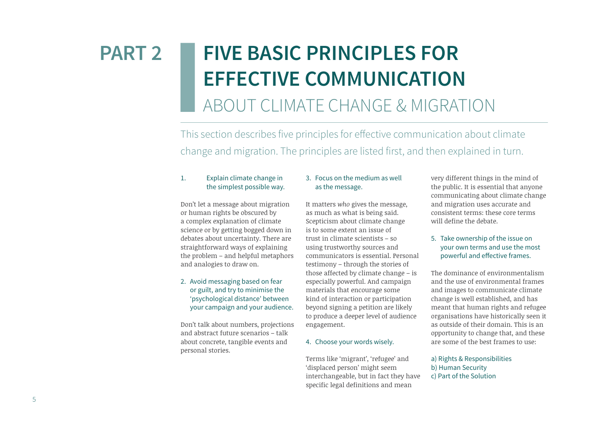# **FIVE BASIC PRINCIPLES FOR EFFECTIVE COMMUNICATION**  ABOUT CLIMATE CHANGE & MIGRATION **PART 2**

This section describes five principles for effective communication about climate change and migration. The principles are listed first, and then explained in turn.

### 1. Explain climate change in the simplest possible way.

Don't let a message about migration or human rights be obscured by a complex explanation of climate science or by getting bogged down in debates about uncertainty. There are straightforward ways of explaining the problem – and helpful metaphors and analogies to draw on.

2. Avoid messaging based on fear or guilt, and try to minimise the 'psychological distance' between your campaign and your audience.

Don't talk about numbers, projections and abstract future scenarios – talk about concrete, tangible events and personal stories.

### 3. Focus on the medium as well as the message.

It matters *who* gives the message, as much as what is being said. Scepticism about climate change is to some extent an issue of trust in climate scientists – so using trustworthy sources and communicators is essential. Personal testimony – through the stories of those affected by climate change – is especially powerful. And campaign materials that encourage some kind of interaction or participation beyond signing a petition are likely to produce a deeper level of audience engagement.

### 4. Choose your words wisely.

Terms like 'migrant', 'refugee' and 'displaced person' might seem interchangeable, but in fact they have specific legal definitions and mean

very different things in the mind of the public. It is essential that anyone communicating about climate change and migration uses accurate and consistent terms: these core terms will define the debate.

### 5. Take ownership of the issue on your own terms and use the most powerful and effective frames.

The dominance of environmentalism and the use of environmental frames and images to communicate climate change is well established, and has meant that human rights and refugee organisations have historically seen it as outside of their domain. This is an opportunity to change that, and these are some of the best frames to use:

a) Rights & Responsibilities b) Human Security c) Part of the Solution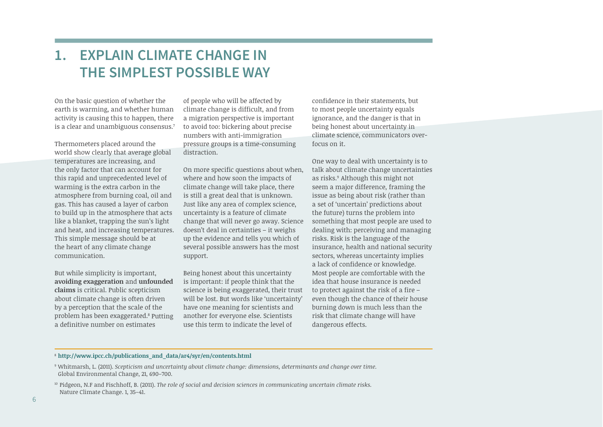# **1. EXPLAIN CLIMATE CHANGE IN THE SIMPLEST POSSIBLE WAY**

On the basic question of whether the earth is warming, and whether human activity is causing this to happen, there is a clear and unambiguous consensus.7

Thermometers placed around the world show clearly that average global temperatures are increasing, and the only factor that can account for this rapid and unprecedented level of warming is the extra carbon in the atmosphere from burning coal, oil and gas. This has caused a layer of carbon to build up in the atmosphere that acts like a blanket, trapping the sun's light and heat, and increasing temperatures. This simple message should be at the heart of any climate change communication.

But while simplicity is important, **avoiding exaggeration** and **unfounded claims** is critical. Public scepticism about climate change is often driven by a perception that the scale of the problem has been exaggerated.<sup>8</sup> Putting a definitive number on estimates

of people who will be affected by climate change is difficult, and from a migration perspective is important to avoid too: bickering about precise numbers with anti-immigration pressure groups is a time-consuming distraction.

On more specific questions about when, where and how soon the impacts of climate change will take place, there is still a great deal that is unknown. Just like any area of complex science, uncertainty is a feature of climate change that will never go away. Science doesn't deal in certainties – it weighs up the evidence and tells you which of several possible answers has the most support.

Being honest about this uncertainty is important: if people think that the science is being exaggerated, their trust will be lost. But words like 'uncertainty' have one meaning for scientists and another for everyone else. Scientists use this term to indicate the level of

confidence in their statements, but to most people uncertainty equals ignorance, and the danger is that in being honest about uncertainty in climate science, communicators overfocus on it.

One way to deal with uncertainty is to talk about climate change uncertainties as risks.9 Although this might not seem a major difference, framing the issue as being about risk (rather than a set of 'uncertain' predictions about the future) turns the problem into something that most people are used to dealing with: perceiving and managing risks. Risk is the language of the insurance, health and national security sectors, whereas uncertainty implies a lack of confidence or knowledge. Most people are comfortable with the idea that house insurance is needed to protect against the risk of a fire  $$ even though the chance of their house burning down is much less than the risk that climate change will have dangerous effects.

### <sup>8</sup> **http://www.ipcc.ch/publications\_and\_data/ar4/syr/en/contents.html**

<sup>9</sup> Whitmarsh, L. (2011). *Scepticism and uncertainty about climate change: dimensions, determinants and change over time.*  Global Environmental Change, 21, 690–700.

<sup>10</sup> Pidgeon, N.F and Fischhoff, B. (2011). *The role of social and decision sciences in communicating uncertain climate risks.* Nature Climate Change. 1, 35–41.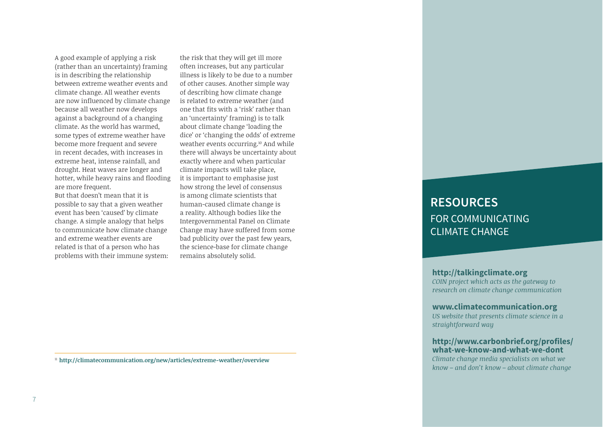A good example of applying a risk (rather than an uncertainty) framing is in describing the relationship between extreme weather events and climate change. All weather events are now influenced by climate change because all weather now develops against a background of a changing climate. As the world has warmed, some types of extreme weather have become more frequent and severe in recent decades, with increases in extreme heat, intense rainfall, and drought. Heat waves are longer and hotter, while heavy rains and flooding are more frequent.

But that doesn't mean that it is possible to say that a given weather event has been 'caused' by climate change. A simple analogy that helps to communicate how climate change and extreme weather events are related is that of a person who has problems with their immune system:

the risk that they will get ill more often increases, but any particular illness is likely to be due to a number of other causes. Another simple way of describing how climate change is related to extreme weather (and one that fits with a 'risk' rather than an 'uncertainty' framing) is to talk about climate change 'loading the dice' or 'changing the odds' of extreme weather events occurring.<sup>10</sup> And while there will always be uncertainty about exactly where and when particular climate impacts will take place, it is important to emphasise just how strong the level of consensus is among climate scientists that human-caused climate change is a reality. Although bodies like the Intergovernmental Panel on Climate Change may have suffered from some bad publicity over the past few years, the science-base for climate change remains absolutely solid.

**RESOURCES**  FOR COMMUNICATING CLIMATE CHANGE

**http://talkingclimate.org** *COIN project which acts as the gateway to research on climate change communication*

**www.climatecommunication.org**  *US website that presents climate science in a straightforward way* 

### **http://www.carbonbrief.org/profiles/ what-we-know-and-what-we-dont**  *Climate change media specialists on what we*

*know – and don't know – about climate change*

<sup>11</sup> **http://climatecommunication.org/new/articles/extreme-weather/overview**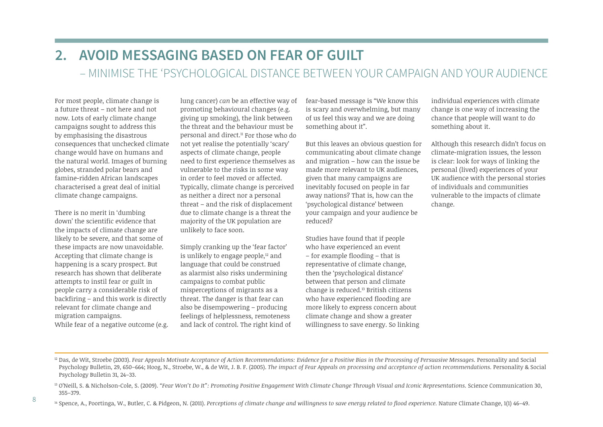# **2. AVOID MESSAGING BASED ON FEAR OF GUILT**  – MINIMISE THE 'PSYCHOLOGICAL DISTANCE BETWEEN YOUR CAMPAIGN AND YOUR AUDIENCE

For most people, climate change is a future threat – not here and not now. Lots of early climate change campaigns sought to address this by emphasising the disastrous consequences that unchecked climate change would have on humans and the natural world. Images of burning globes, stranded polar bears and famine-ridden African landscapes characterised a great deal of initial climate change campaigns.

There is no merit in 'dumbing down' the scientific evidence that the impacts of climate change are likely to be severe, and that some of these impacts are now unavoidable. Accepting that climate change is happening is a scary prospect. But research has shown that deliberate attempts to instil fear or guilt in people carry a considerable risk of  $back firing - and this work is directly.$ relevant for climate change and migration campaigns. While fear of a negative outcome (e.g.

lung cancer) *can* be an effective way of promoting behavioural changes (e.g. giving up smoking), the link between the threat and the behaviour must be personal and direct.11 For those who do not yet realise the potentially 'scary' aspects of climate change, people need to first experience themselves as vulnerable to the risks in some way in order to feel moved or affected. Typically, climate change is perceived as neither a direct nor a personal threat – and the risk of displacement due to climate change is a threat the majority of the UK population are unlikely to face soon.

Simply cranking up the 'fear factor' is unlikely to engage people,<sup>12</sup> and language that could be construed as alarmist also risks undermining campaigns to combat public misperceptions of migrants as a threat. The danger is that fear can also be disempowering – producing feelings of helplessness, remoteness and lack of control. The right kind of fear-based message is "We know this is scary and overwhelming, but many of us feel this way and we are doing something about it".

But this leaves an obvious question for communicating about climate change and migration – how can the issue be made more relevant to UK audiences, given that many campaigns are inevitably focused on people in far away nations? That is, how can the 'psychological distance' between your campaign and your audience be reduced?

Studies have found that if people who have experienced an event  $-$  for example flooding  $-$  that is representative of climate change, then the 'psychological distance' between that person and climate change is reduced.13 British citizens who have experienced flooding are more likely to express concern about climate change and show a greater willingness to save energy. So linking

individual experiences with climate change is one way of increasing the chance that people will want to do something about it.

Although this research didn't focus on climate-migration issues, the lesson is clear: look for ways of linking the personal (lived) experiences of your UK audience with the personal stories of individuals and communities vulnerable to the impacts of climate change.

<sup>12</sup> Das, de Wit, Stroebe (2003). *Fear Appeals Motivate Acceptance of Action Recommendations: Evidence for a Positive Bias in the Processing of Persuasive Messages. Personality and Social* Psychology Bulletin, 29, 650–664; Hoog, N., Stroebe, W., & de Wit, J. B. F. (2005). *The impact of Fear Appeals on processing and acceptance of action recommendations.* Personality & Social Psychology Bulletin 31, 24–33.

<sup>13</sup> O'Neill, S. & Nicholson-Cole, S. (2009). "Fear Won't Do It": Promoting Positive Engagement With Climate Change Through Visual and Iconic Representations. Science Communication 30, 355–379.

<sup>14</sup> Spence, A., Poortinga, W., Butler, C. & Pidgeon, N. (2011). *Perceptions of climate change and willingness to save energy related to flood experience*. Nature Climate Change, 1(1) 46–49.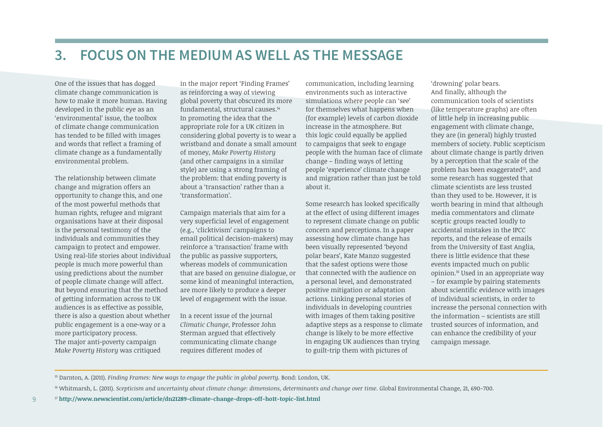# **3. FOCUS ON THE MEDIUM AS WELL AS THE MESSAGE**

One of the issues that has dogged climate change communication is how to make it more human. Having developed in the public eye as an 'environmental' issue, the toolbox of climate change communication has tended to be filled with images and words that reflect a framing of climate change as a fundamentally environmental problem.

The relationship between climate change and migration offers an opportunity to change this, and one of the most powerful methods that human rights, refugee and migrant organisations have at their disposal is the personal testimony of the individuals and communities they campaign to protect and empower. Using real-life stories about individual people is much more powerful than using predictions about the number of people climate change will affect. But beyond ensuring that the method of getting information across to UK audiences is as effective as possible, there is also a question about whether public engagement is a one-way or a more participatory process. The major anti-poverty campaign *Make Poverty History* was critiqued

9

in the major report 'Finding Frames' as reinforcing a way of viewing global poverty that obscured its more fundamental, structural causes.14 In promoting the idea that the appropriate role for a UK citizen in considering global poverty is to wear a wristband and donate a small amount of money, *Make Poverty History* (and other campaigns in a similar style) are using a strong framing of the problem: that ending poverty is about a 'transaction' rather than a 'transformation'.

Campaign materials that aim for a very superficial level of engagement (e.g., 'clicktivism' campaigns to email political decision-makers) may reinforce a 'transaction' frame with the public as passive supporters, whereas models of communication that are based on genuine dialogue, or some kind of meaningful interaction, are more likely to produce a deeper level of engagement with the issue.

In a recent issue of the journal *Climatic Change*, Professor John Sterman argued that effectively communicating climate change requires different modes of

communication, including learning environments such as interactive simulations where people can 'see' for themselves what happens when (for example) levels of carbon dioxide increase in the atmosphere. But this logic could equally be applied to campaigns that seek to engage people with the human face of climate  $change - finding$  ways of letting people 'experience' climate change and migration rather than just be told about it.

Some research has looked specifically at the effect of using different images to represent climate change on public concern and perceptions. In a paper assessing how climate change has been visually represented 'beyond polar bears', Kate Manzo suggested that the safest options were those that connected with the audience on a personal level, and demonstrated positive mitigation or adaptation actions. Linking personal stories of individuals in developing countries with images of them taking positive adaptive steps as a response to climate change is likely to be more effective in engaging UK audiences than trying to guilt-trip them with pictures of

'drowning' polar bears. And finally, although the communication tools of scientists (like temperature graphs) are often of little help in increasing public engagement with climate change, they are (in general) highly trusted members of society. Public scepticism about climate change is partly driven by a perception that the scale of the problem has been exaggerated15, and some research has suggested that climate scientists are less trusted than they used to be. However, it is worth bearing in mind that although media commentators and climate sceptic groups reacted loudly to accidental mistakes in the IPCC reports, and the release of emails from the University of East Anglia, there is little evidence that these events impacted much on public opinion.16 Used in an appropriate way – for example by pairing statements about scientific evidence with images of individual scientists, in order to increase the personal connection with the information – scientists are still trusted sources of information, and can enhance the credibility of your campaign message.

<sup>15</sup> Darnton, A. (2011). *Finding Frames: New ways to engage the public in global poverty.* Bond: London, UK.

<sup>&</sup>lt;sup>16</sup> Whitmarsh, L. (2011). *Scepticism and uncertainty about climate change: dimensions, determinants and change over time. Global Environmental Change, 21, 690–700.*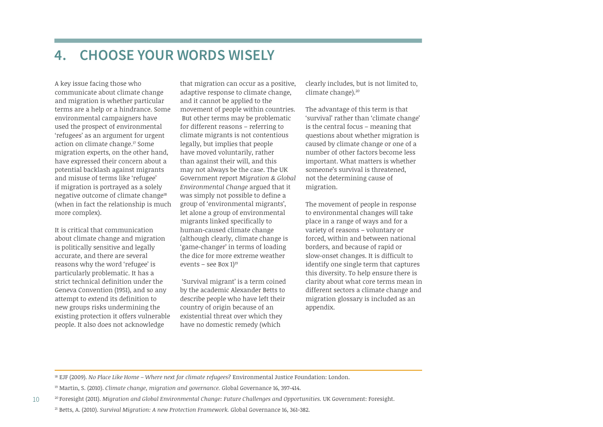# **4. CHOOSE YOUR WORDS WISELY**

A key issue facing those who communicate about climate change and migration is whether particular terms are a help or a hindrance. Some environmental campaigners have used the prospect of environmental 'refugees' as an argument for urgent action on climate change.17 Some migration experts, on the other hand, have expressed their concern about a potential backlash against migrants and misuse of terms like 'refugee' if migration is portrayed as a solely negative outcome of climate change<sup>18</sup> (when in fact the relationship is much more complex).

It is critical that communication about climate change and migration is politically sensitive and legally accurate, and there are several reasons why the word 'refugee' is particularly problematic. It has a strict technical definition under the Geneva Convention (1951), and so any attempt to extend its definition to new groups risks undermining the existing protection it offers vulnerable people. It also does not acknowledge

that migration can occur as a positive, adaptive response to climate change, and it cannot be applied to the movement of people within countries. But other terms may be problematic for different reasons – referring to climate migrants is not contentious legally, but implies that people have moved voluntarily, rather than against their will, and this may not always be the case. The UK Government report *Migration & Global Environmental Change* argued that it was simply not possible to define a group of 'environmental migrants', let alone a group of environmental migrants linked specifically to human-caused climate change (although clearly, climate change is 'game-changer' in terms of loading the dice for more extreme weather events – see Box  $1$ <sup>19</sup>

 'Survival migrant' is a term coined by the academic Alexander Betts to describe people who have left their country of origin because of an existential threat over which they have no domestic remedy (which

clearly includes, but is not limited to, climate change).20

The advantage of this term is that 'survival' rather than 'climate change' is the central focus – meaning that questions about whether migration is caused by climate change or one of a number of other factors become less important. What matters is whether someone's survival is threatened, not the determining cause of migration.

The movement of people in response to environmental changes will take place in a range of ways and for a variety of reasons – voluntary or forced, within and between national borders, and because of rapid or slow-onset changes. It is difficult to identify one single term that captures this diversity. To help ensure there is clarity about what core terms mean in different sectors a climate change and migration glossary is included as an appendix.

<sup>18</sup> EJF (2009). *No Place Like Home - Where next for climate refugees?* Environmental Justice Foundation: London.

10

<sup>19</sup> Martin, S. (2010). *Climate change, migration and governance.* Global Governance 16, 397-414.

<sup>20</sup> Foresight (2011). *Migration and Global Environmental Change: Future Challenges and Opportunities.* UK Government: Foresight.

<sup>21</sup> Betts, A. (2010). *Survival Migration: A new Protection Framework.* Global Governance 16, 361-382.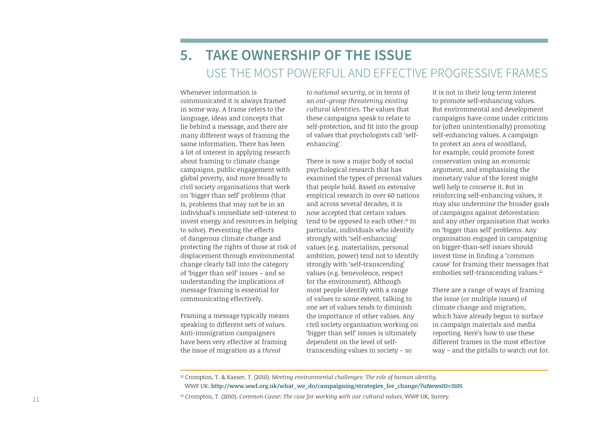# **5. TAKE OWNERSHIP OF THE ISSUE**  USE THE MOST POWERFUL AND EFFECTIVE PROGRESSIVE FRAMES

Whenever information is communicated it is always framed in some way. A frame refers to the language, ideas and concepts that lie behind a message, and there are many different ways of framing the same information. There has been a lot of interest in applying research about framing to climate change campaigns, public engagement with global poverty, and more broadly to civil society organisations that work on 'bigger than self' problems (that is, problems that may not be in an individual's immediate self-interest to invest energy and resources in helping to solve). Preventing the effects of dangerous climate change and protecting the rights of those at risk of displacement through environmental change clearly fall into the category of 'bigger than self' issues – and so understanding the implications of message framing is essential for communicating effectively.

Framing a message typically means speaking to different sets of *values*. Anti-immigration campaigners have been very effective at framing the issue of migration as a *threat* 

*to national security*, or in terms of an *out-group* threatening existing *cultural identities.* The values that these campaigns speak to relate to self-protection, and fit into the group of values that psychologists call 'selfenhancing'.

There is now a major body of social psychological research that has examined the types of personal values that people hold. Based on extensive empirical research in over 60 nations and across several decades, it is now accepted that certain values tend to be opposed to each other.<sup>21</sup> In particular, individuals who identify strongly with 'self-enhancing' values (e.g. materialism, personal ambition, power) tend not to identify strongly with 'self-transcending' values (e.g. benevolence, respect for the environment). Although most people identify with a range of values to some extent, talking to one set of values tends to diminish the importance of other values. Any civil society organisation working on 'bigger than self' issues is ultimately dependent on the level of selftranscending values in society – so

it is not in their long term interest to promote self-enhancing values. But environmental and development campaigns have come under criticism for (often unintentionally) promoting self-enhancing values. A campaign to protect an area of woodland, for example, could promote forest conservation using an economic argument, and emphasising the monetary value of the forest might well help to conserve it. But in reinforcing self-enhancing values, it may also undermine the broader goals of campaigns against deforestation and any other organisation that works on 'bigger than self' problems. Any organisation engaged in campaigning on bigger-than-self issues should invest time in finding a 'common cause' for framing their messages that embodies self-transcending values.<sup>22</sup>

There are a range of ways of framing the issue (or multiple issues) of climate change and migration, which have already begun to surface in campaign materials and media reporting. Here's how to use these different frames in the most effective way – and the pitfalls to watch out for.

<sup>22</sup> Crompton, T. & Kasser, T. (2010). *Meeting environmental challenges: The role of human identity.*  WWF UK. **http://www.wwf.org.uk/what\_we\_do/campaigning/strategies\_for\_change/?uNewsID=3105**

<sup>23</sup> Crompton, T. (2010). *Common Cause: The case for working with our cultural values*. WWF UK, Surrey.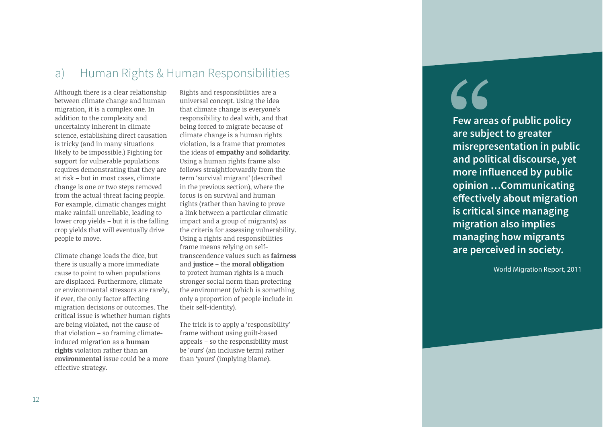# a) Human Rights & Human Responsibilities

Although there is a clear relationship between climate change and human migration, it is a complex one. In addition to the complexity and uncertainty inherent in climate science, establishing direct causation is tricky (and in many situations likely to be impossible.) Fighting for support for vulnerable populations requires demonstrating that they are at risk – but in most cases, climate change is one or two steps removed from the actual threat facing people. For example, climatic changes might make rainfall unreliable, leading to lower crop yields – but it is the falling crop yields that will eventually drive people to move.

Climate change loads the dice, but there is usually a more immediate cause to point to when populations are displaced. Furthermore, climate or environmental stressors are rarely, if ever, the only factor affecting migration decisions or outcomes. The critical issue is whether human rights are being violated, not the cause of that violation – so framing climateinduced migration as a **human rights** violation rather than an **environmental** issue could be a more effective strategy.

Rights and responsibilities are a universal concept. Using the idea that climate change is everyone's responsibility to deal with, and that being forced to migrate because of climate change is a human rights violation, is a frame that promotes the ideas of **empathy** and **solidarity**. Using a human rights frame also follows straightforwardly from the term 'survival migrant' (described in the previous section), where the focus is on survival and human rights (rather than having to prove a link between a particular climatic impact and a group of migrants) as the criteria for assessing vulnerability. Using a rights and responsibilities frame means relying on selftranscendence values such as **fairness** and **justice** – the **moral obligation** to protect human rights is a much stronger social norm than protecting the environment (which is something only a proportion of people include in their self-identity).

The trick is to apply a 'responsibility' frame without using guilt-based appeals – so the responsibility must be 'ours' (an inclusive term) rather than 'yours' (implying blame).

# "

**Few areas of public policy are subject to greater misrepresentation in public and political discourse, yet more influenced by public opinion ...Communicating effectively about migration is critical since managing migration also implies managing how migrants are perceived in society.**

World Migration Report, 2011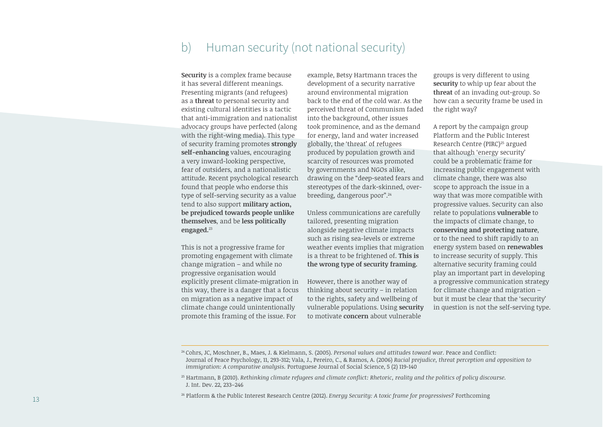# b) Human security (not national security)

**Security** is a complex frame because it has several different meanings. Presenting migrants (and refugees) as a **threat** to personal security and existing cultural identities is a tactic that anti-immigration and nationalist advocacy groups have perfected (along with the right-wing media). This type of security framing promotes **strongly self-enhancing** values, encouraging a very inward-looking perspective, fear of outsiders, and a nationalistic attitude. Recent psychological research found that people who endorse this type of self-serving security as a value tend to also support **military action, be prejudiced towards people unlike themselves**, and be **less politically engaged.**<sup>23</sup>

This is not a progressive frame for promoting engagement with climate change migration – and while no progressive organisation would explicitly present climate-migration in this way, there is a danger that a focus on migration as a negative impact of climate change could unintentionally promote this framing of the issue. For

example, Betsy Hartmann traces the development of a security narrative around environmental migration back to the end of the cold war. As the perceived threat of Communism faded into the background, other issues took prominence, and as the demand for energy, land and water increased globally, the 'threat' of refugees produced by population growth and scarcity of resources was promoted by governments and NGOs alike, drawing on the "deep-seated fears and stereotypes of the dark-skinned, overbreeding, dangerous poor".24

Unless communications are carefully tailored, presenting migration alongside negative climate impacts such as rising sea-levels or extreme weather events implies that migration is a threat to be frightened of. **This is the wrong type of security framing.**

However, there is another way of thinking about security – in relation to the rights, safety and wellbeing of vulnerable populations. Using **security** to motivate **concern** about vulnerable

groups is very different to using **security** to whip up fear about the **threat** of an invading out-group. So how can a security frame be used in the right way?

A report by the campaign group Platform and the Public Interest Research Centre (PIRC)<sup>25</sup> argued that although 'energy security' could be a problematic frame for increasing public engagement with climate change, there was also scope to approach the issue in a way that was more compatible with progressive values. Security can also relate to populations **vulnerable** to the impacts of climate change, to **conserving and protecting nature**, or to the need to shift rapidly to an energy system based on **renewables** to increase security of supply. This alternative security framing could play an important part in developing a progressive communication strategy for climate change and migration – but it must be clear that the 'security' in question is not the self-serving type.

<sup>&</sup>lt;sup>24</sup> Cohrs, JC, Moschner, B., Maes, J. & Kielmann, S. (2005). *Personal values and attitudes toward war.* Peace and Conflict: Journal of Peace Psychology, 11, 293-312; Vala, J., Pereiro, C., & Ramos, A. (2006) *Racial prejudice, threat perception and opposition to immigration: A comparative analysis.* Portuguese Journal of Social Science, 5 (2) 119-140

<sup>&</sup>lt;sup>25</sup> Hartmann, B (2010). *Rethinking climate refugees and climate conflict: Rhetoric, reality and the politics of policu discourse.* J. Int. Dev. 22, 233–246

<sup>&</sup>lt;sup>26</sup> Platform & the Public Interest Research Centre (2012). *Energy Security: A toxic frame for progressives?* Forthcoming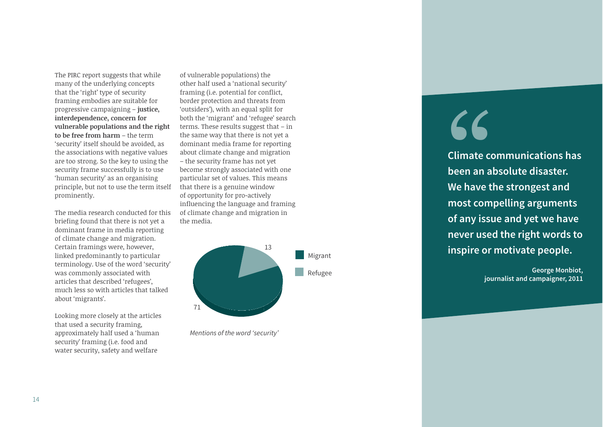The PIRC report suggests that while many of the underlying concepts that the 'right' type of security framing embodies are suitable for progressive campaigning – **justice, interdependence, concern for vulnerable populations and the right to be free from harm** – the term 'security' itself should be avoided, as the associations with negative values are too strong. So the key to using the security frame successfully is to use 'human security' as an organising principle, but not to use the term itself prominently.

The media research conducted for this briefing found that there is not yet a dominant frame in media reporting of climate change and migration. Certain framings were, however, linked predominantly to particular terminology. Use of the word 'security' was commonly associated with articles that described 'refugees', much less so with articles that talked about 'migrants'.

Looking more closely at the articles that used a security framing, approximately half used a 'human security' framing (i.e. food and water security, safety and welfare

of vulnerable populations) the other half used a 'national security' framing (i.e. potential for conflict, border protection and threats from 'outsiders'), with an equal split for both the 'migrant' and 'refugee' search terms. These results suggest that – in the same way that there is not yet a dominant media frame for reporting about climate change and migration – the security frame has not yet become strongly associated with one particular set of values. This means that there is a genuine window of opportunity for pro-actively influencing the language and framing of climate change and migration in the media.



Mentions of the word 'security'

# $66$

**Climate communications has been an absolute disaster. We have the strongest and most compelling arguments of any issue and yet we have never used the right words to inspire or motivate people.**

> **George Monbiot, journalist and campaigner, 2011**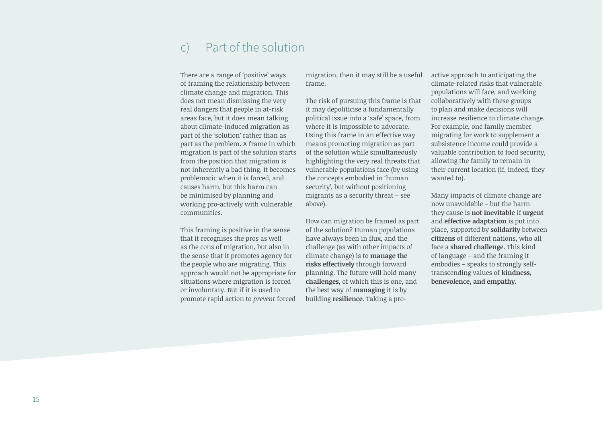# c) Part of the solution

There are a range of 'positive' ways of framing the relationship between climate change and migration. This does not mean dismissing the very real dangers that people in at-risk areas face, but it does mean talking about climate-induced migration as part of the 'solution' rather than as part as the problem. A frame in which migration is part of the solution starts from the position that migration is not inherently a bad thing. It becomes problematic when it is forced, and causes harm, but this harm can be minimised by planning and working pro-actively with vulnerable communities.

This framing is positive in the sense that it recognises the pros as well as the cons of migration, but also in the sense that it promotes agency for the people who are migrating. This approach would not be appropriate for situations where migration is forced or involuntary. But if it is used to promote rapid action to *prevent* forced

migration, then it may still be a useful frame.

The risk of pursuing this frame is that it may depoliticise a fundamentally political issue into a 'safe' space, from where it is impossible to advocate. Using this frame in an effective way means promoting migration as part of the solution while simultaneously highlighting the very real threats that vulnerable populations face (by using the concepts embodied in 'human security', but without positioning migrants as a security threat – see above).

How can migration be framed as part of the solution? Human populations have always been in flux, and the challenge (as with other impacts of climate change) is to **manage the risks effectively** through forward planning. The future will hold many **challenges**, of which this is one, and the best way of **managing** it is by building **resilience**. Taking a proactive approach to anticipating the climate-related risks that vulnerable populations will face, and working collaboratively with these groups to plan and make decisions will increase resilience to climate change. For example, one family member migrating for work to supplement a subsistence income could provide a valuable contribution to food security, allowing the family to remain in their current location (if, indeed, they wanted to).

Many impacts of climate change are now unavoidable – but the harm they cause is **not inevitable** if **urgent** and **effective adaptation** is put into place, supported by **solidarity** between **citizens** of different nations, who all face a **shared challenge**. This kind of language – and the framing it embodies – speaks to strongly selftranscending values of **kindness, benevolence, and empathy.**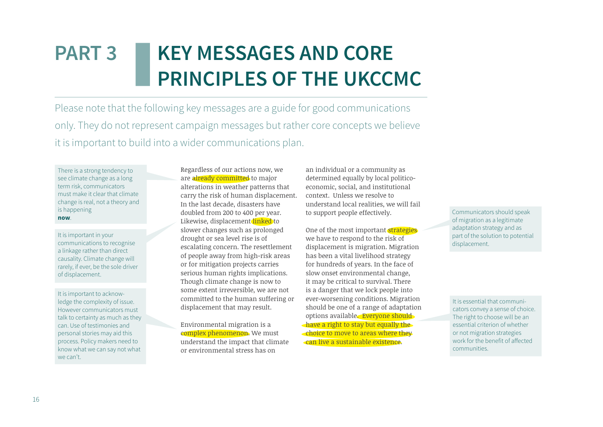# **KEY MESSAGES AND CORE PRINCIPLES OF THE UKCCMC PART 3**

Please note that the following key messages are a guide for good communications only. They do not represent campaign messages but rather core concepts we believe it is important to build into a wider communications plan.

There is a strong tendency to see climate change as a long term risk, communicators must make it clear that climate change is real, not a theory and is happening **now**.

It is important in your communications to recognise a linkage rather than direct causality. Climate change will rarely, if ever, be the sole driver of displacement.

It is important to acknowledge the complexity of issue. However communicators must talk to certainty as much as they can. Use of testimonies and personal stories may aid this process. Policy makers need to know what we can say not what we can't

Regardless of our actions now, we are already committed to major alterations in weather patterns that carry the risk of human displacement. In the last decade, disasters have doubled from 200 to 400 per year. Likewise, displacement linked to slower changes such as prolonged drought or sea level rise is of escalating concern. The resettlement of people away from high-risk areas or for mitigation projects carries serious human rights implications. Though climate change is now to some extent irreversible, we are not committed to the human suffering or displacement that may result.

Environmental migration is a complex phenomenon. We must understand the impact that climate or environmental stress has on

an individual or a community as determined equally by local politicoeconomic, social, and institutional context. Unless we resolve to understand local realities, we will fail to support people effectively.

One of the most important strategies we have to respond to the risk of displacement is migration. Migration has been a vital livelihood strategy for hundreds of years. In the face of slow onset environmental change, it may be critical to survival. There is a danger that we lock people into ever-worsening conditions. Migration should be one of a range of adaptation options available. Everyone should have a right to stay but equally the choice to move to areas where they can live a sustainable existence.

Communicators should speak of migration as a legitimate adaptation strategy and as part of the solution to potential displacement.

It is essential that communicators convey a sense of choice. The right to choose will be an essential criterion of whether or not migration strategies work for the benefit of affected communities.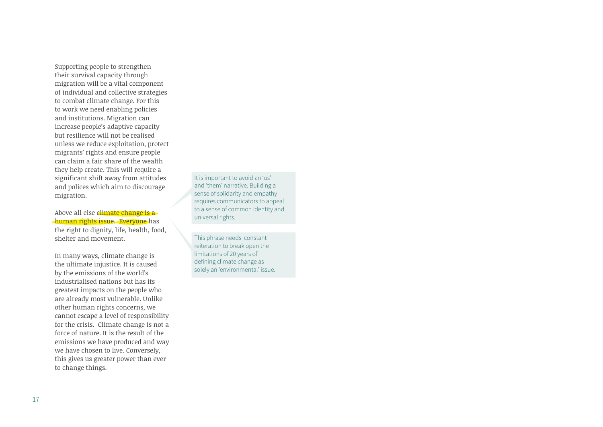Supporting people to strengthen their survival capacity through migration will be a vital component of individual and collective strategies to combat climate change. For this to work we need enabling policies and institutions. Migration can increase people's adaptive capacity but resilience will not be realised unless we reduce exploitation, protect migrants' rights and ensure people can claim a fair share of the wealth they help create. This will require a significant shift away from attitudes and polices which aim to discourage migration.

Above all else climate change is a human rights issue. Everyone has the right to dignity, life, health, food, shelter and movement.

In many ways, climate change is the ultimate injustice. It is caused by the emissions of the world's industrialised nations but has its greatest impacts on the people who are already most vulnerable. Unlike other human rights concerns, we cannot escape a level of responsibility for the crisis. Climate change is not a force of nature. It is the result of the emissions we have produced and way we have chosen to live. Conversely, this gives us greater power than ever to change things.

It is important to avoid an 'us' and 'them' narrative. Building a sense of solidarity and empathy requires communicators to appeal to a sense of common identity and universal rights.

This phrase needs constant reiteration to break open the limitations of 20 years of defining climate change as solely an 'environmental' issue.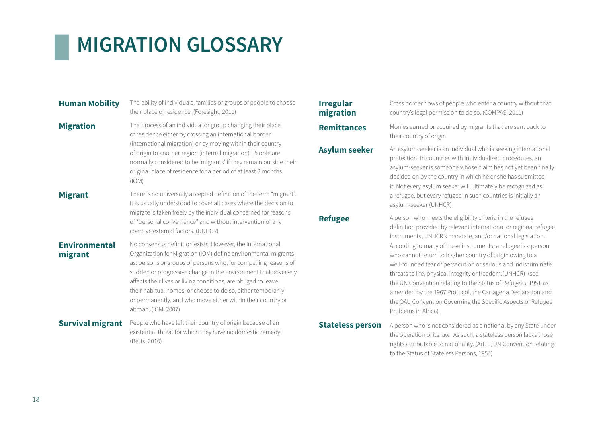# **MIGRATION GLOSSARY**

| <b>Human Mobility</b>           | The ability of individuals, families or groups of people to choose<br>their place of residence. (Foresight, 2011)                                                                                                                                                                                                                                                                                                                                                                         |
|---------------------------------|-------------------------------------------------------------------------------------------------------------------------------------------------------------------------------------------------------------------------------------------------------------------------------------------------------------------------------------------------------------------------------------------------------------------------------------------------------------------------------------------|
| <b>Migration</b>                | The process of an individual or group changing their place<br>of residence either by crossing an international border<br>(international migration) or by moving within their country<br>of origin to another region (internal migration). People are<br>normally considered to be 'migrants' if they remain outside their<br>original place of residence for a period of at least 3 months.<br>(10M)                                                                                      |
| <b>Migrant</b>                  | There is no universally accepted definition of the term "migrant".<br>It is usually understood to cover all cases where the decision to<br>migrate is taken freely by the individual concerned for reasons<br>of "personal convenience" and without intervention of any<br>coercive external factors. (UNHCR)                                                                                                                                                                             |
| <b>Environmental</b><br>migrant | No consensus definition exists. However, the International<br>Organization for Migration (IOM) define environmental migrants<br>as: persons or groups of persons who, for compelling reasons of<br>sudden or progressive change in the environment that adversely<br>affects their lives or living conditions, are obliged to leave<br>their habitual homes, or choose to do so, either temporarily<br>or permanently, and who move either within their country or<br>abroad. (IOM, 2007) |
| <b>Survival migrant</b>         | People who have left their country of origin because of an<br>existential threat for which they have no domestic remedy.<br>(Betts, 2010)                                                                                                                                                                                                                                                                                                                                                 |

# **Irregular migration**

Cross border flows of people who enter a country without that country's legal permission to do so. (COMPAS, 2011)

**Remittances** Monies earned or acquired by migrants that are sent back to their country of origin.

Asylum seeker An asylum-seeker is an individual who is seeking international protection. In countries with individualised procedures, an asylum-seeker is someone whose claim has not yet been finally decided on by the country in which he or she has submitted it. Not every asylum seeker will ultimately be recognized as a refugee, but every refugee in such countries is initially an asylum-seeker (UNHCR)

**Refugee** A person who meets the eligibility criteria in the refugee definition provided by relevant international or regional refugee instruments, UNHCR's mandate, and/or national legislation. According to many of these instruments, a refugee is a person who cannot return to his/her country of origin owing to a well-founded fear of persecution or serious and indiscriminate threats to life, physical integrity or freedom.(UNHCR) (see the UN Convention relating to the Status of Refugees, 1951 as amended by the 1967 Protocol, the Cartagena Declaration and the OAU Convention Governing the Specific Aspects of Refugee Problems in Africa).

**Stateless person** A person who is not considered as a national by any State under the operation of its law. As such, a stateless person lacks those rights attributable to nationality. (Art. 1, UN Convention relating to the Status of Stateless Persons, 1954)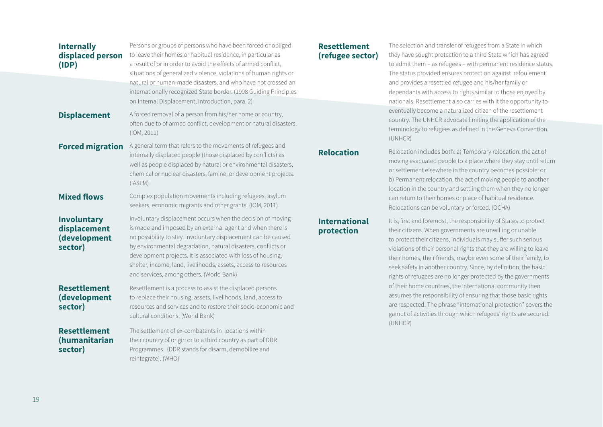| <b>Internally</b><br>displaced person<br>(IDP)         | Persons or groups of persons who have been forced or obliged<br>to leave their homes or habitual residence, in particular as<br>a result of or in order to avoid the effects of armed conflict,<br>situations of generalized violence, violations of human rights or<br>natural or human-made disasters, and who have not crossed an<br>internationally recognized State border. (1998 Guiding Principles                                   | <b>Reset</b><br>(refus |
|--------------------------------------------------------|---------------------------------------------------------------------------------------------------------------------------------------------------------------------------------------------------------------------------------------------------------------------------------------------------------------------------------------------------------------------------------------------------------------------------------------------|------------------------|
| <b>Displacement</b>                                    | on Internal Displacement, Introduction, para. 2)<br>A forced removal of a person from his/her home or country,<br>often due to of armed conflict, development or natural disasters.<br>(10M, 2011)                                                                                                                                                                                                                                          |                        |
| <b>Forced migration</b>                                | A general term that refers to the movements of refugees and<br>internally displaced people (those displaced by conflicts) as<br>well as people displaced by natural or environmental disasters,<br>chemical or nuclear disasters, famine, or development projects.<br>(IASFM)                                                                                                                                                               | <b>Reloc</b>           |
| <b>Mixed flows</b>                                     | Complex population movements including refugees, asylum<br>seekers, economic migrants and other grants. (IOM, 2011)                                                                                                                                                                                                                                                                                                                         |                        |
| Involuntary<br>displacement<br>(development<br>sector) | Involuntary displacement occurs when the decision of moving<br>is made and imposed by an external agent and when there is<br>no possibility to stay. Involuntary displacement can be caused<br>by environmental degradation, natural disasters, conflicts or<br>development projects. It is associated with loss of housing,<br>shelter, income, land, livelihoods, assets, access to resources<br>and services, among others. (World Bank) | Interi<br>prote        |
| <b>Resettlement</b><br>(development<br>sector)         | Resettlement is a process to assist the displaced persons<br>to replace their housing, assets, livelihoods, land, access to<br>resources and services and to restore their socio-economic and<br>cultural conditions. (World Bank)                                                                                                                                                                                                          |                        |
| <b>Resettlement</b><br>(humanitarian<br>sector)        | The settlement of ex-combatants in locations within<br>their country of origin or to a third country as part of DDR<br>Programmes. (DDR stands for disarm, demobilize and<br>reintegrate). (WHO)                                                                                                                                                                                                                                            |                        |

## **Resettlement (refugee sector)**

The selection and transfer of refugees from a State in which they have sought protection to a third State which has agreed to admit them – as refugees – with permanent residence status. The status provided ensures protection against refoulement and provides a resettled refugee and his/her family or dependants with access to rights similar to those enjoyed by nationals. Resettlement also carries with it the opportunity to eventually become a naturalized citizen of the resettlement country. The UNHCR advocate limiting the application of the terminology to refugees as defined in the Geneva Convention. (UNHCR)

**Relocation** includes both: a) Temporary relocation: the act of moving evacuated people to a place where they stay until return or settlement elsewhere in the country becomes possible; or b) Permanent relocation: the act of moving people to another location in the country and settling them when they no longer can return to their homes or place of habitual residence. Relocations can be voluntary or forced. (OCHA)

### **national pction**

It is, first and foremost, the responsibility of States to protect their citizens. When governments are unwilling or unable to protect their citizens, individuals may suffer such serious violations of their personal rights that they are willing to leave their homes, their friends, maybe even some of their family, to seek safety in another country. Since, by definition, the basic rights of refugees are no longer protected by the governments of their home countries, the international community then assumes the responsibility of ensuring that those basic rights are respected. The phrase "international protection" covers the gamut of activities through which refugees' rights are secured. (UNHCR)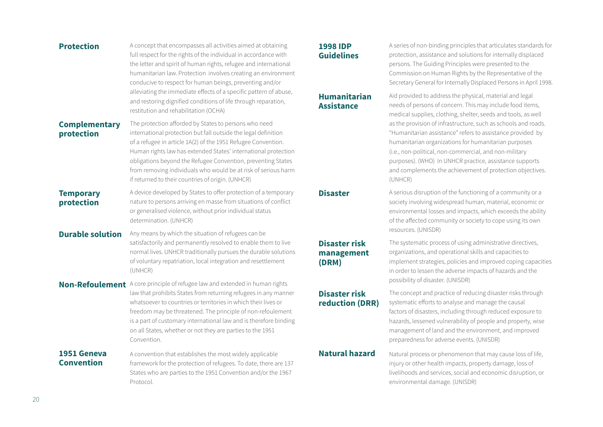**Protection** A concept that encompasses all activities aimed at obtaining full respect for the rights of the individual in accordance with the letter and spirit of human rights, refugee and international humanitarian law. Protection involves creating an environment conducive to respect for human beings, preventing and/or alleviating the immediate effects of a specific pattern of abuse, and restoring dignified conditions of life through reparation, restitution and rehabilitation (OCHA)

### **Complementary protection**

The protection afforded by States to persons who need international protection but fall outside the legal definition of a refugee in article 1A(2) of the 1951 Refugee Convention. Human rights law has extended States' international protection obligations beyond the Refugee Convention, preventing States from removing individuals who would be at risk of serious harm if returned to their countries of origin. (UNHCR)

### **Temporary protection** A device developed by States to offer protection of a temporary nature to persons arriving en masse from situations of conflict or generalised violence, without prior individual status determination. (UNHCR)

**Durable solution** Any means by which the situation of refugees can be satisfactorily and permanently resolved to enable them to live normal lives. UNHCR traditionally pursues the durable solutions of voluntary repatriation, local integration and resettlement (UNHCR)

### **Non-Refoulement** A core principle of refugee law and extended in human rights

law that prohibits States from returning refugees in any manner whatsoever to countries or territories in which their lives or freedom may be threatened. The principle of non-refoulement is a part of customary international law and is therefore binding on all States, whether or not they are parties to the 1951 Convention.

### **1951 Geneva Convention**

A convention that establishes the most widely applicable framework for the protection of refugees. To date, there are 137 States who are parties to the 1951 Convention and/or the 1967 Protocol.

### **1998 IDP Guidelines**

A series of non-binding principles that articulates standards for protection, assistance and solutions for internally displaced persons. The Guiding Principles were presented to the Commission on Human Rights by the Representative of the Secretary General for Internally Displaced Persons in April 1998.

### **Humanitarian Assistance**

Aid provided to address the physical, material and legal needs of persons of concern. This may include food items, medical supplies, clothing, shelter, seeds and tools, as well as the provision of infrastructure, such as schools and roads. "Humanitarian assistance" refers to assistance provided by humanitarian organizations for humanitarian purposes (i.e., non-political, non-commercial, and non-military purposes). (WHO) In UNHCR practice, assistance supports and complements the achievement of protection objectives. (UNHCR)

**Disaster** A serious disruption of the functioning of a community or a society involving widespread human, material, economic or environmental losses and impacts, which exceeds the ability of the affected community or society to cope using its own resources. (UNISDR)

# **Disaster risk management (DRM)**

## **Disaster risk reduction (DRR)**

The systematic process of using administrative directives, organizations, and operational skills and capacities to implement strategies, policies and improved coping capacities in order to lessen the adverse impacts of hazards and the possibility of disaster. (UNISDR)

The concept and practice of reducing disaster risks through systematic efforts to analyse and manage the causal factors of disasters, including through reduced exposure to hazards, lessened vulnerability of people and property, wise management of land and the environment, and improved preparedness for adverse events. (UNISDR)

**Natural hazard** Natural process or phenomenon that may cause loss of life, injury or other health impacts, property damage, loss of livelihoods and services, social and economic disruption, or environmental damage. (UNISDR)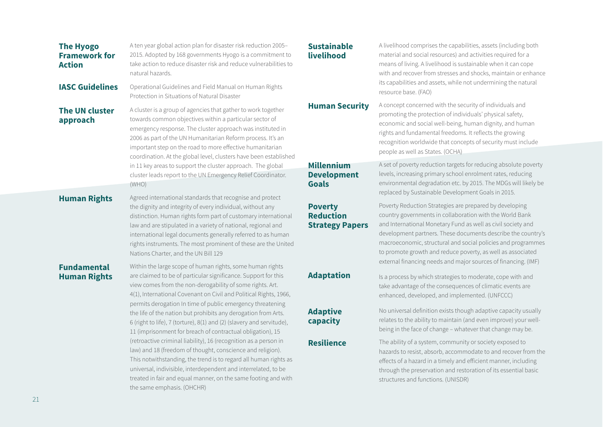| <b>Framework for</b><br><b>Action</b>     | 2015. Adopted by 168 governments Hyogo is a commitment to<br>take action to reduce disaster risk and reduce vulnerabilities to<br>natural hazards.                                                                                                                                                                                                                                                                                                                                                                              | liveli                                            |
|-------------------------------------------|---------------------------------------------------------------------------------------------------------------------------------------------------------------------------------------------------------------------------------------------------------------------------------------------------------------------------------------------------------------------------------------------------------------------------------------------------------------------------------------------------------------------------------|---------------------------------------------------|
| <b>IASC Guidelines</b>                    | Operational Guidelines and Field Manual on Human Rights<br>Protection in Situations of Natural Disaster                                                                                                                                                                                                                                                                                                                                                                                                                         |                                                   |
| <b>The UN cluster</b><br>approach         | A cluster is a group of agencies that gather to work together<br>towards common objectives within a particular sector of<br>emergency response. The cluster approach was instituted in<br>2006 as part of the UN Humanitarian Reform process. It's an<br>important step on the road to more effective humanitarian<br>coordination. At the global level, clusters have been established<br>in 11 key areas to support the cluster approach. The global<br>cluster leads report to the UN Emergency Relief Coordinator.<br>(WHO) | <b>Hum</b><br><b>Mille</b><br><b>Deve</b><br>Goal |
| <b>Human Rights</b>                       | Agreed international standards that recognise and protect<br>the dignity and integrity of every individual, without any<br>distinction. Human rights form part of customary international<br>law and are stipulated in a variety of national, regional and<br>international legal documents generally referred to as human<br>rights instruments. The most prominent of these are the United<br>Nations Charter, and the UN Bill 129                                                                                            | <b>Pove</b><br>Redu<br><b>Strat</b>               |
| <b>Fundamental</b><br><b>Human Rights</b> | Within the large scope of human rights, some human rights<br>are claimed to be of particular significance. Support for this<br>view comes from the non-derogability of some rights. Art.<br>4(1), International Covenant on Civil and Political Rights, 1966,<br>permits derogation In time of public emergency threatening<br>the life of the nation but prohibits any derogation from Arts.<br>6 (right to life), 7 (torture), 8(1) and (2) (slavery and servitude),                                                          | Adap<br>Adap<br>capa                              |
|                                           | 11 (imprisonment for breach of contractual obligation), 15<br>(retroactive criminal liability), 16 (recognition as a person in<br>law) and 18 (freedom of thought, conscience and religion).                                                                                                                                                                                                                                                                                                                                    | <b>Resil</b>                                      |

This notwithstanding, the trend is to regard all human rights as universal, indivisible, interdependent and interrelated, to be treated in fair and equal manner, on the same footing and with

the same emphasis. (OHCHR)

A ten year global action plan for disaster risk reduction 2005–

### **Sustainable livelihood**

A livelihood comprises the capabilities, assets (including both material and social resources) and activities required for a means of living. A livelihood is sustainable when it can cope with and recover from stresses and shocks, maintain or enhance its capabilities and assets, while not undermining the natural resource base. (FAO)

**Han Security** A concept concerned with the security of individuals and promoting the protection of individuals' physical safety, economic and social well-being, human dignity, and human rights and fundamental freedoms. It reflects the growing recognition worldwide that concepts of security must include people as well as States. (OCHA)

# **Millennium Development Goals**

### **Prty Reduction Strategy Papers**

A set of poverty reduction targets for reducing absolute poverty levels, increasing primary school enrolment rates, reducing environmental degradation etc. by 2015. The MDGs will likely be replaced by Sustainable Development Goals in 2015.

Poverty Reduction Strategies are prepared by developing country governments in collaboration with the World Bank and International Monetary Fund as well as civil society and development partners. These documents describe the country's macroeconomic, structural and social policies and programmes to promote growth and reduce poverty, as well as associated external financing needs and major sources of financing. (IMF)

### **Atation** Is a process by which strategies to moderate, cope with and take advantage of the consequences of climatic events are enhanced, developed, and implemented. (UNFCCC)

# **Ative acity**

No universal definition exists though adaptive capacity usually relates to the ability to maintain (and even improve) your wellbeing in the face of change – whatever that change may be.

**Rence** The ability of a system, community or society exposed to hazards to resist, absorb, accommodate to and recover from the effects of a hazard in a timely and efficient manner, including through the preservation and restoration of its essential basic structures and functions. (UNISDR)

**The Hyogo**